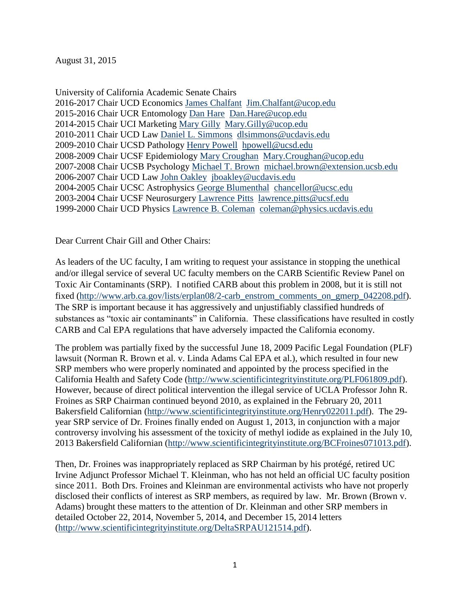August 31, 2015

University of California Academic Senate Chairs 2016-2017 Chair UCD Economics [James Chalfant](http://senate.universityofcalifornia.edu/leadership/JimChalfant.html) [Jim.Chalfant@ucop.edu](mailto:Jim.Chalfant@ucop.edu) 2015-2016 Chair UCR Entomology [Dan Hare](file:///C:/AirPollution/Dan%20Hare) [Dan.Hare@ucop.edu](mailto:Dan.Hare@ucop.edu) 2014-2015 Chair UCI Marketing Mary Gilly [Mary.Gilly@ucop.edu](mailto:Mary.Gilly@ucop.edu) 2010-2011 Chair UCD Law [Daniel L. Simmons](mailto:Daniel%20L.%20Simmons) [dlsimmons@ucdavis.edu](mailto:dlsimmons@ucdavis.edu) 2009-2010 Chair UCSD Pathology [Henry Powell](http://senate.universityofcalifornia.edu/leadership/powellbio.html) [hpowell@ucsd.edu](mailto:hpowell@ucsd.edu) 2008-2009 Chair UCSF Epidemiology [Mary Croughan](http://senate.universityofcalifornia.edu/leadership/marycroughanbio.html) Mary.Croughan@ucop.edu 2007-2008 Chair UCSB Psychology [Michael T. Brown](http://senate.universityofcalifornia.edu/leadership/mbrownbio.html) michael.brown@extension.ucsb.edu 2006-2007 Chair UCD Law [John Oakley](http://senate.universityofcalifornia.edu/leadership/oakleybio.html) [jboakley@ucdavis.edu](mailto:jboakley@ucdavis.edu) 2004-2005 Chair UCSC Astrophysics [George Blumenthal](http://senate.universityofcalifornia.edu/leadership/blumenthalbio.html) chancellor@ucsc.edu 2003-2004 Chair UCSF Neurosurgery [Lawrence Pitts](mailto:Lawrence%20Pitts) lawrence.pitts@ucsf.edu 1999-2000 Chair UCD Physics [Lawrence B. Coleman](http://www.physics.ucdavis.edu/Text/coleman.html) [coleman@physics.ucdavis.edu](mailto:coleman@physics.ucdavis.edu)

Dear Current Chair Gill and Other Chairs:

As leaders of the UC faculty, I am writing to request your assistance in stopping the unethical and/or illegal service of several UC faculty members on the CARB Scientific Review Panel on Toxic Air Contaminants (SRP). I notified CARB about this problem in 2008, but it is still not fixed [\(http://www.arb.ca.gov/lists/erplan08/2-carb\\_enstrom\\_comments\\_on\\_gmerp\\_042208.pdf\)](http://www.arb.ca.gov/lists/erplan08/2-carb_enstrom_comments_on_gmerp_042208.pdf). The SRP is important because it has aggressively and unjustifiably classified hundreds of substances as "toxic air contaminants" in California. These classifications have resulted in costly CARB and Cal EPA regulations that have adversely impacted the California economy.

The problem was partially fixed by the successful June 18, 2009 Pacific Legal Foundation (PLF) lawsuit (Norman R. Brown et al. v. Linda Adams Cal EPA et al.), which resulted in four new SRP members who were properly nominated and appointed by the process specified in the California Health and Safety Code [\(http://www.scientificintegrityinstitute.org/PLF061809.pdf\)](http://www.scientificintegrityinstitute.org/PLF061809.pdf). However, because of direct political intervention the illegal service of UCLA Professor John R. Froines as SRP Chairman continued beyond 2010, as explained in the February 20, 2011 Bakersfield Californian [\(http://www.scientificintegrityinstitute.org/Henry022011.pdf\)](http://scientificintegrityinstitute.org/Henry022011.pdf). The 29 year SRP service of Dr. Froines finally ended on August 1, 2013, in conjunction with a major controversy involving his assessment of the toxicity of methyl iodide as explained in the July 10, 2013 Bakersfield Californian [\(http://www.scientificintegrityinstitute.org/BCFroines071013.pdf\)](http://scientificintegrityinstitute.org/BCFroines071013.pdf).

Then, Dr. Froines was inappropriately replaced as SRP Chairman by his protégé, retired UC Irvine Adjunct Professor Michael T. Kleinman, who has not held an official UC faculty position since 2011. Both Drs. Froines and Kleinman are environmental activists who have not properly disclosed their conflicts of interest as SRP members, as required by law. Mr. Brown (Brown v. Adams) brought these matters to the attention of Dr. Kleinman and other SRP members in detailed October 22, 2014, November 5, 2014, and December 15, 2014 letters [\(http://www.scientificintegrityinstitute.org/DeltaSRPAU121514.pdf\)](http://www.scientificintegrityinstitute.org/DeltaSRPAU121514.pdf).